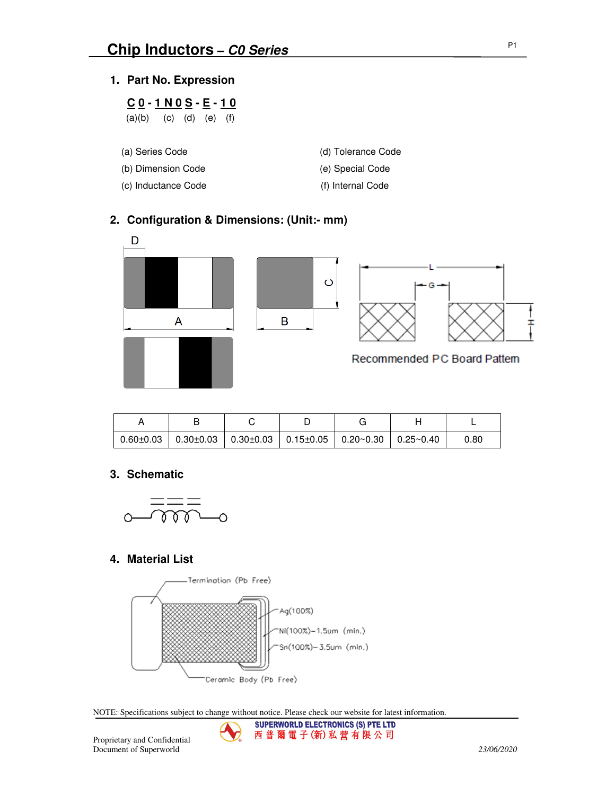# **1. Part No. Expression**

| <u>C 0 - 1 N 0 S - E - 1 0</u> |  |  |
|--------------------------------|--|--|
| $(a)(b)$ (c) $(d)$ (e) (f)     |  |  |

- 
- (b) Dimension Code (e) Special Code
- (c) Inductance Code (f) Internal Code
- (a) Series Code (d) Tolerance Code
	-
	-

# **2. Configuration & Dimensions: (Unit:- mm)**



|  |  | $0.60\pm0.03$   $0.30\pm0.03$   $0.30\pm0.03$   $0.15\pm0.05$   $0.20\sim0.30$   $0.25\sim0.40$ | ገ.80 |
|--|--|-------------------------------------------------------------------------------------------------|------|

### **3. Schematic**



# **4. Material List**



NOTE: Specifications subject to change without notice. Please check our website for latest information.

P1

Proprietary and Confidential Document of Superworld *23/06/2020*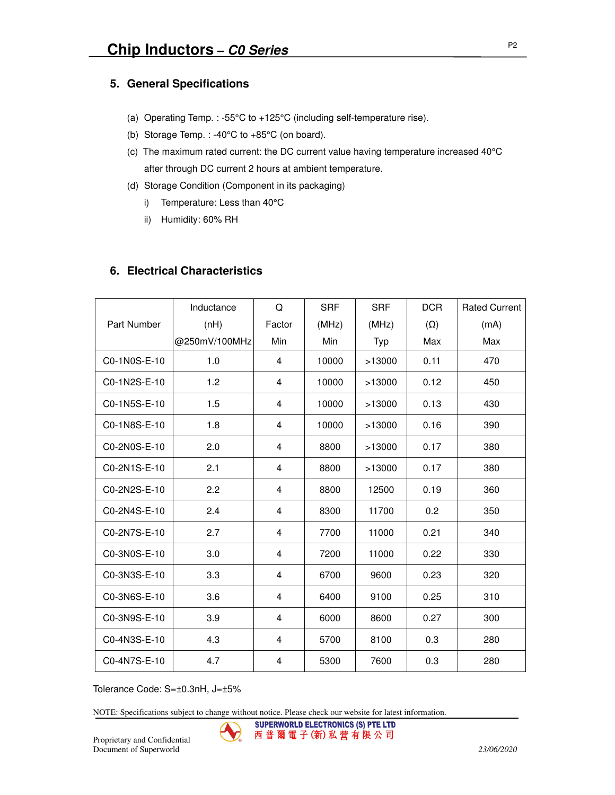# **5. General Specifications**

- (a) Operating Temp. : -55°C to +125°C (including self-temperature rise).
- (b) Storage Temp. : -40°C to +85°C (on board).
- (c) The maximum rated current: the DC current value having temperature increased 40°C after through DC current 2 hours at ambient temperature.
- (d) Storage Condition (Component in its packaging)
	- i) Temperature: Less than 40°C
	- ii) Humidity: 60% RH

### **6. Electrical Characteristics**

|                    | Inductance    | Q      | <b>SRF</b> | <b>SRF</b> | <b>DCR</b> | <b>Rated Current</b> |
|--------------------|---------------|--------|------------|------------|------------|----------------------|
| <b>Part Number</b> | (nH)          | Factor | (MHz)      | (MHz)      | $(\Omega)$ | (mA)                 |
|                    | @250mV/100MHz | Min    | Min        | Typ        | Max        | Max                  |
| C0-1N0S-E-10       | 1.0           | 4      | 10000      | >13000     | 0.11       | 470                  |
| C0-1N2S-E-10       | 1.2           | 4      | 10000      | >13000     | 0.12       | 450                  |
| C0-1N5S-E-10       | 1.5           | 4      | 10000      | >13000     | 0.13       | 430                  |
| C0-1N8S-E-10       | 1.8           | 4      | 10000      | >13000     | 0.16       | 390                  |
| C0-2N0S-E-10       | 2.0           | 4      | 8800       | >13000     | 0.17       | 380                  |
| C0-2N1S-E-10       | 2.1           | 4      | 8800       | >13000     | 0.17       | 380                  |
| C0-2N2S-E-10       | 2.2           | 4      | 8800       | 12500      | 0.19       | 360                  |
| C0-2N4S-E-10       | 2.4           | 4      | 8300       | 11700      | 0.2        | 350                  |
| C0-2N7S-E-10       | 2.7           | 4      | 7700       | 11000      | 0.21       | 340                  |
| C0-3N0S-E-10       | 3.0           | 4      | 7200       | 11000      | 0.22       | 330                  |
| C0-3N3S-E-10       | 3.3           | 4      | 6700       | 9600       | 0.23       | 320                  |
| C0-3N6S-E-10       | 3.6           | 4      | 6400       | 9100       | 0.25       | 310                  |
| C0-3N9S-E-10       | 3.9           | 4      | 6000       | 8600       | 0.27       | 300                  |
| C0-4N3S-E-10       | 4.3           | 4      | 5700       | 8100       | 0.3        | 280                  |
| C0-4N7S-E-10       | 4.7           | 4      | 5300       | 7600       | 0.3        | 280                  |

Tolerance Code: S=±0.3nH, J=±5%

NOTE: Specifications subject to change without notice. Please check our website for latest information.

 $\blacktriangledown$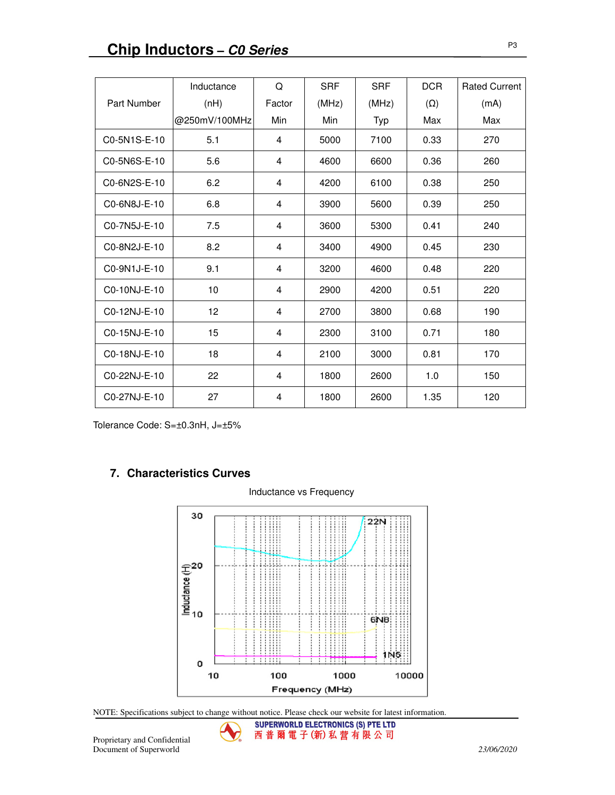|              | Inductance    | Q      | <b>SRF</b> | <b>SRF</b> | <b>DCR</b> | <b>Rated Current</b> |
|--------------|---------------|--------|------------|------------|------------|----------------------|
| Part Number  | (nH)          | Factor | (MHz)      | (MHz)      | $(\Omega)$ | (mA)                 |
|              | @250mV/100MHz | Min    | Min        | Typ        | Max        | Max                  |
| C0-5N1S-E-10 | 5.1           | 4      | 5000       | 7100       | 0.33       | 270                  |
| C0-5N6S-E-10 | 5.6           | 4      | 4600       | 6600       | 0.36       | 260                  |
| C0-6N2S-E-10 | 6.2           | 4      | 4200       | 6100       | 0.38       | 250                  |
| C0-6N8J-E-10 | 6.8           | 4      | 3900       | 5600       | 0.39       | 250                  |
| C0-7N5J-E-10 | 7.5           | 4      | 3600       | 5300       | 0.41       | 240                  |
| C0-8N2J-E-10 | 8.2           | 4      | 3400       | 4900       | 0.45       | 230                  |
| C0-9N1J-E-10 | 9.1           | 4      | 3200       | 4600       | 0.48       | 220                  |
| C0-10NJ-E-10 | 10            | 4      | 2900       | 4200       | 0.51       | 220                  |
| C0-12NJ-E-10 | 12            | 4      | 2700       | 3800       | 0.68       | 190                  |
| C0-15NJ-E-10 | 15            | 4      | 2300       | 3100       | 0.71       | 180                  |
| C0-18NJ-E-10 | 18            | 4      | 2100       | 3000       | 0.81       | 170                  |
| C0-22NJ-E-10 | 22            | 4      | 1800       | 2600       | 1.0        | 150                  |
| C0-27NJ-E-10 | 27            | 4      | 1800       | 2600       | 1.35       | 120                  |

Tolerance Code: S=±0.3nH, J=±5%

# **7. Characteristics Curves**

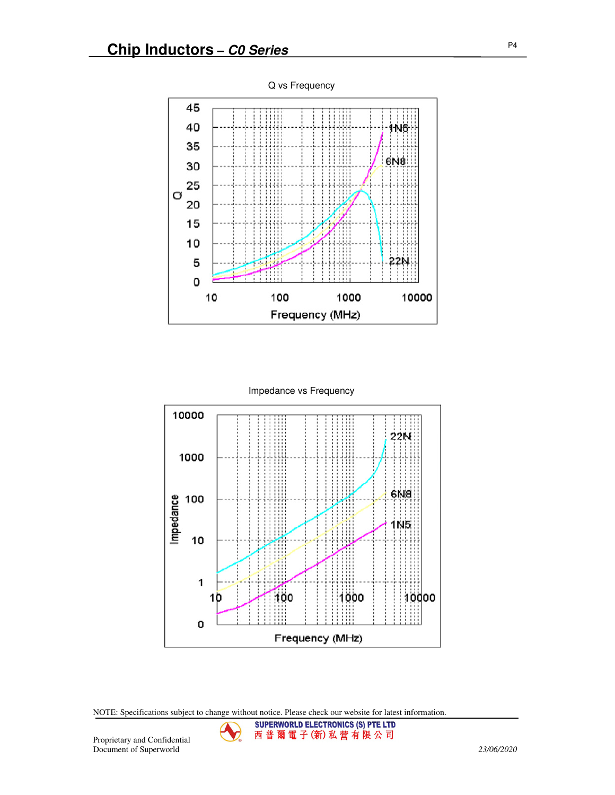



NOTE: Specifications subject to change without notice. Please check our website for latest information.

V.

**SUPERWORLD ELECTRONICS (S) PTE LTD** 西普爾電子(新)私营有限公司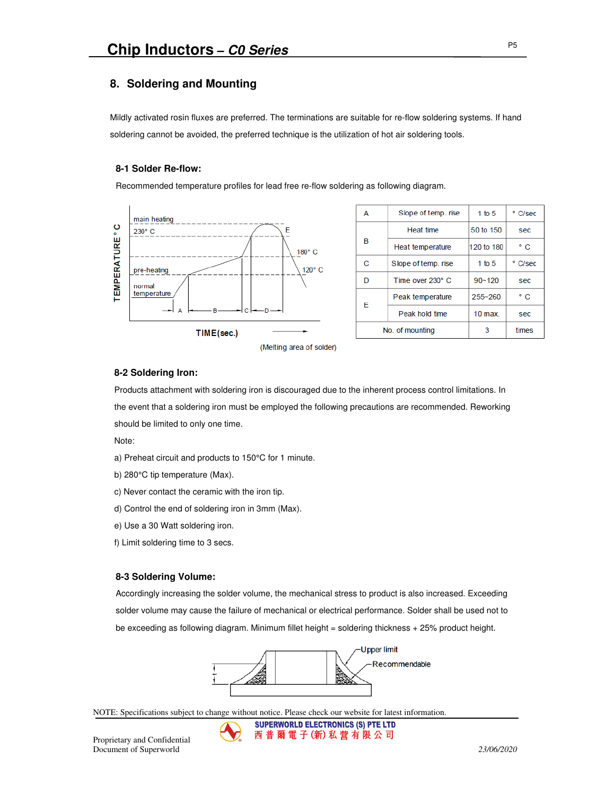### **8. Soldering and Mounting**

Mildly activated rosin fluxes are preferred. The terminations are suitable for re-flow soldering systems. If hand soldering cannot be avoided, the preferred technique is the utilization of hot air soldering tools.

#### **8-1 Solder Re-flow:**

Recommended temperature profiles for lead free re-flow soldering as following diagram.



| А | Slope of temp. rise |             | ° C/sec |
|---|---------------------|-------------|---------|
|   | Heat time           | 50 to 150   | sec     |
| в | Heat temperature    | 120 to 180  | ۰c      |
| С | Slope of temp. rise | 1 to $5$    | ° C/sec |
| D | Time over 230° C    | $90 - 120$  | sec.    |
| F | Peak temperature    | $255 - 260$ | ۰c      |
|   | Peak hold time      | $10$ max.   | sec     |
|   | No. of mounting     | 3           | times   |

(Melting area of solder)

#### **8-2 Soldering Iron:**

Products attachment with soldering iron is discouraged due to the inherent process control limitations. In the event that a soldering iron must be employed the following precautions are recommended. Reworking should be limited to only one time.

Note:

- a) Preheat circuit and products to 150°C for 1 minute.
- b) 280°C tip temperature (Max).
- c) Never contact the ceramic with the iron tip.
- d) Control the end of soldering iron in 3mm (Max).
- e) Use a 30 Watt soldering iron.
- f) Limit soldering time to 3 secs.

#### **8-3 Soldering Volume:**

Accordingly increasing the solder volume, the mechanical stress to product is also increased. Exceeding solder volume may cause the failure of mechanical or electrical performance. Solder shall be used not to be exceeding as following diagram. Minimum fillet height = soldering thickness + 25% product height.



**SUPERWORLD ELECTRONICS (S) PTE LTD** 西普爾電子(新)私营有限公司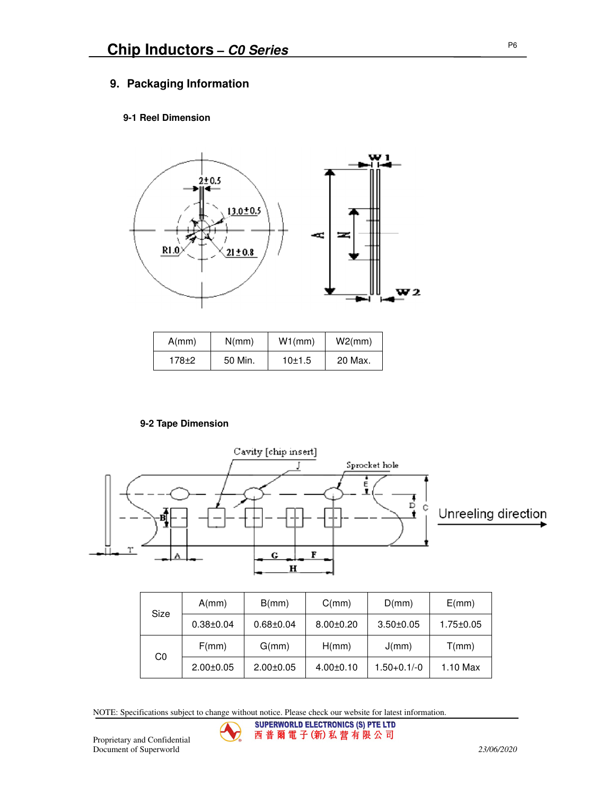# **9. Packaging Information**

### **9-1 Reel Dimension**



| $A/mm$ ) | N/mm    | W1(mm) | W2(mm)  |
|----------|---------|--------|---------|
| 178+2    | 50 Min. | 10±1.5 | 20 Max. |

### **9-2 Tape Dimension**



|                | A/mm            | B/mm)           | C/mm            | D(mm)           | E(mm)           |
|----------------|-----------------|-----------------|-----------------|-----------------|-----------------|
| Size           | $0.38 + 0.04$   | $0.68 + 0.04$   | $8.00 \pm 0.20$ | $3.50 \pm 0.05$ | $1.75 \pm 0.05$ |
| C <sub>0</sub> | F(mm)           | G(mm)           | H/mm)           | J(mm)           | T(mm)           |
|                | $2.00 \pm 0.05$ | $2.00 \pm 0.05$ | $4.00 \pm 0.10$ | $1.50 + 0.1/-0$ | 1.10 Max        |